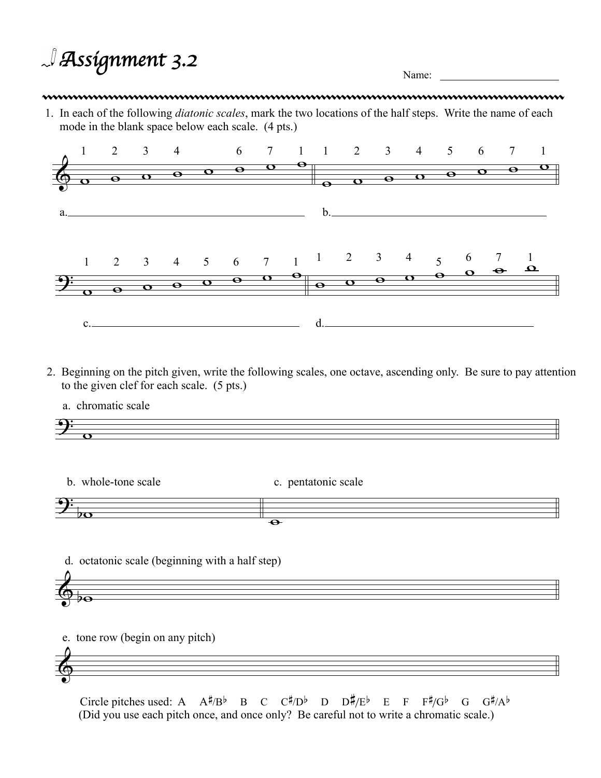*Assignment* 3.2

## 

1. In each of the following *diatonic scales*, mark the two locations of the half steps. Write the name of each mode in the blank space below each scale. (4 pts.)



- 2. Beginning on the pitch given, write the following scales, one octave, ascending only. Be sure to pay attention to the given clef for each scale. (5 pts.)
	- a. chromatic scale



b. whole-tone scale

c. pentatonic scale



d. octatonic scale (beginning with a half step)



e. tone row (begin on any pitch)



(Did you use each pitch once, and once only? Be careful not to write a chromatic scale.) Circle pitches used: A  $A^{\sharp}/B^{\flat}$  B C  $C^{\sharp}/D^{\flat}$  D  $D^{\sharp}/E^{\flat}$  E F  $F^{\sharp}/G^{\flat}$  G  $G^{\sharp}/A^{\flat}$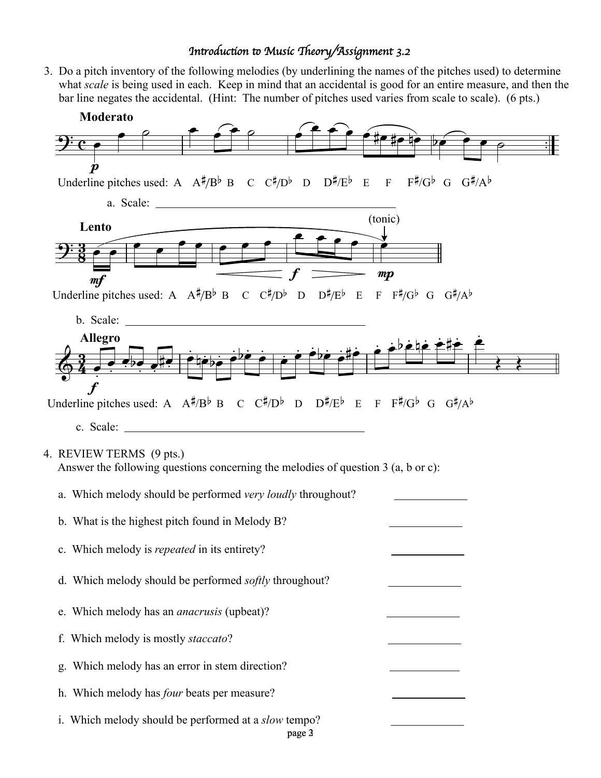## I*n*#*oduc*\$*on* % *Music* &*eory/Assignment 3.2*

3. Do a pitch inventory of the following melodies (by underlining the names of the pitches used) to determine what *scale* is being used in each. Keep in mind that an accidental is good for an entire measure, and then the bar line negates the accidental. (Hint: The number of pitches used varies from scale to scale). (6 pts.)

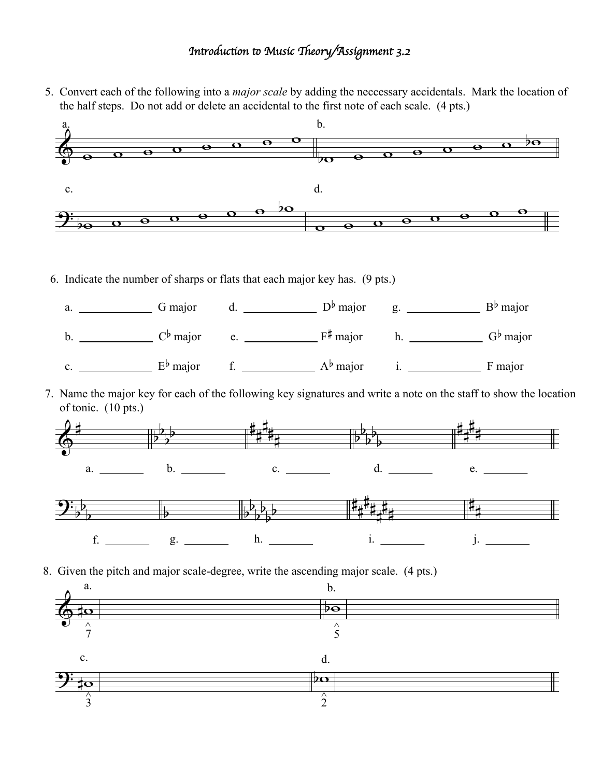## I*n*#*oduc*\$*on* % *Music* &*eory/Assignment 3.2*

5. Convert each of the following into a *major scale* by adding the neccessary accidentals. Mark the location of the half steps. Do not add or delete an accidental to the first note of each scale. (4 pts.)